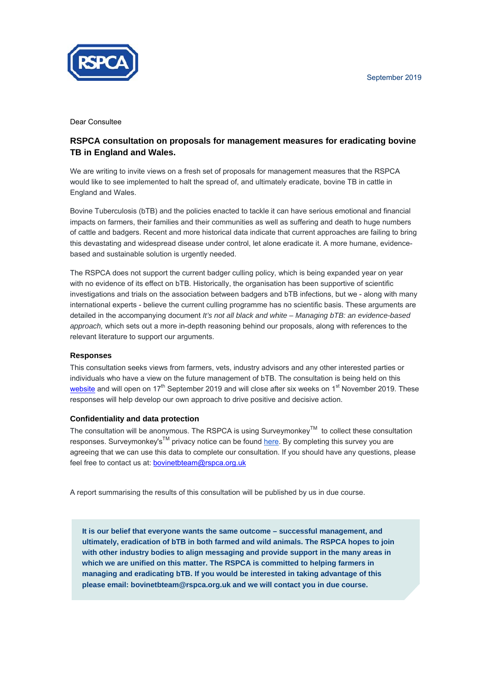

Dear Consultee

### **RSPCA consultation on proposals for management measures for eradicating bovine TB in England and Wales.**

We are writing to invite views on a fresh set of proposals for management measures that the RSPCA would like to see implemented to halt the spread of, and ultimately eradicate, bovine TB in cattle in England and Wales.

Bovine Tuberculosis (bTB) and the policies enacted to tackle it can have serious emotional and financial impacts on farmers, their families and their communities as well as suffering and death to huge numbers of cattle and badgers. Recent and more historical data indicate that current approaches are failing to bring this devastating and widespread disease under control, let alone eradicate it. A more humane, evidencebased and sustainable solution is urgently needed.

The RSPCA does not support the current badger culling policy, which is being expanded year on year with no evidence of its effect on bTB. Historically, the organisation has been supportive of scientific investigations and trials on the association between badgers and bTB infections, but we - along with many international experts - believe the current culling programme has no scientific basis. These arguments are detailed in the accompanying document *It's not all black and white – Managing bTB: an evidence-based approach,* which sets out a more in-depth reasoning behind our proposals, along with references to the relevant literature to support our arguments.

#### **Responses**

This consultation seeks views from farmers, vets, industry advisors and any other interested parties or individuals who have a view on the future management of bTB. The consultation is being held on this [website](https://www.surveymonkey.co.uk/r/7DRDTC2) and will open on  $17<sup>th</sup>$  September 2019 and will close after six weeks on  $1<sup>st</sup>$  November 2019. These responses will help develop our own approach to drive positive and decisive action.

#### **Confidentiality and data protection**

The consultation will be anonymous. The RSPCA is using Surveymonkey™ to collect these consultation responses. Surveymonkey's<sup>™</sup> privacy notice can be found [here.](https://www.surveymonkey.com/mp/legal/privacy-policy/) By completing this survey you are agreeing that we can use this data to complete our consultation. If you should have any questions, please feel free to contact us at: bovinetbteam@rspca.org.uk

A report summarising the results of this consultation will be published by us in due course.

**It is our belief that everyone wants the same outcome – successful management, and ultimately, eradication of bTB in both farmed and wild animals. The RSPCA hopes to join with other industry bodies to align messaging and provide support in the many areas in which we are unified on this matter. The RSPCA is committed to helping farmers in managing and eradicating bTB. If you would be interested in taking advantage of this please email: bovinetbteam@rspca.org.uk and we will contact you in due course.**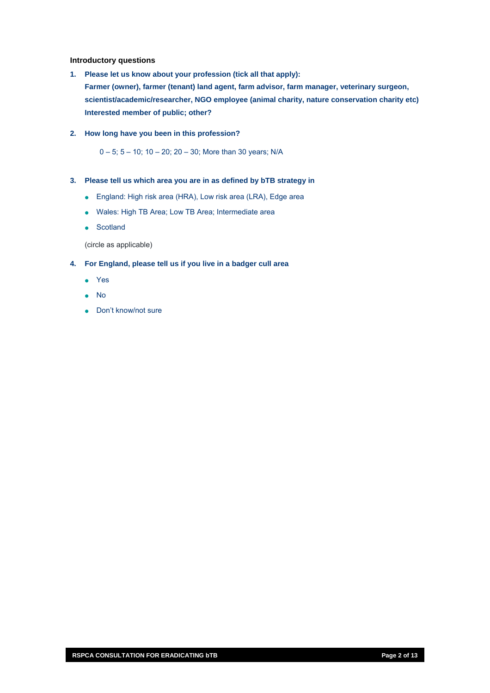#### **Introductory questions**

- **1. Please let us know about your profession (tick all that apply): Farmer (owner), farmer (tenant) land agent, farm advisor, farm manager, veterinary surgeon, scientist/academic/researcher, NGO employee (animal charity, nature conservation charity etc) Interested member of public; other?**
- **2. How long have you been in this profession?**

0 – 5; 5 – 10; 10 – 20; 20 – 30; More than 30 years; N/A

- **3. Please tell us which area you are in as defined by bTB strategy in** 
	- England: High risk area (HRA), Low risk area (LRA), Edge area
	- Wales: High TB Area; Low TB Area; Intermediate area
	- Scotland

(circle as applicable)

- **4. For England, please tell us if you live in a badger cull area** 
	- Yes
	- No
	- Don't know/not sure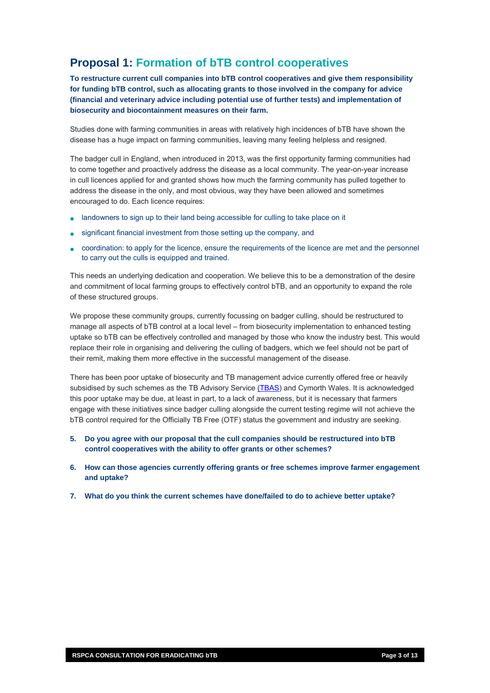## **Proposal 1: Formation of bTB control cooperatives**

**To restructure current cull companies into bTB control cooperatives and give them responsibility for funding bTB control, such as allocating grants to those involved in the company for advice (financial and veterinary advice including potential use of further tests) and implementation of biosecurity and biocontainment measures on their farm.** 

Studies done with farming communities in areas with relatively high incidences of bTB have shown the disease has a huge impact on farming communities, leaving many feeling helpless and resigned.

The badger cull in England, when introduced in 2013, was the first opportunity farming communities had to come together and proactively address the disease as a local community. The year-on-year increase in cull licences applied for and granted shows how much the farming community has pulled together to address the disease in the only, and most obvious, way they have been allowed and sometimes encouraged to do. Each licence requires:

- landowners to sign up to their land being accessible for culling to take place on it
- significant financial investment from those setting up the company, and
- coordination: to apply for the licence, ensure the requirements of the licence are met and the personnel to carry out the culls is equipped and trained.

This needs an underlying dedication and cooperation. We believe this to be a demonstration of the desire and commitment of local farming groups to effectively control bTB, and an opportunity to expand the role of these structured groups.

uptake so bTB can be effectively controlled and managed by those who know the industry best. This would replace their role in organising and delivering the culling of badgers, which we feel should not be part of We propose these community groups, currently focussing on badger culling, should be restructured to manage all aspects of bTB control at a local level – from biosecurity implementation to enhanced testing their remit, making them more effective in the successful management of the disease.

There has been poor uptake of biosecurity and TB management advice currently offered free or heavily subsidised by such schemes as the TB Advisory Service [\(TBAS](http://www.tbas.org.uk/)) and Cymorth Wales. It is acknowledged this poor uptake may be due, at least in part, to a lack of awareness, but it is necessary that farmers engage with these initiatives since badger culling alongside the current testing regime will not achieve the . bTB control required for the Officially TB Free (OTF) status the government and industry are seeking

- 5. Do you agree with our proposal that the cull companies should be restructured into bTB **control cooperatives with the ability to offer grants or other schemes?**
- 6. How can those agencies currently offering grants or free schemes improve farmer engagement **and uptake?**
- **. What do you think the current schemes have done/failed to do to achieve better uptake? 7**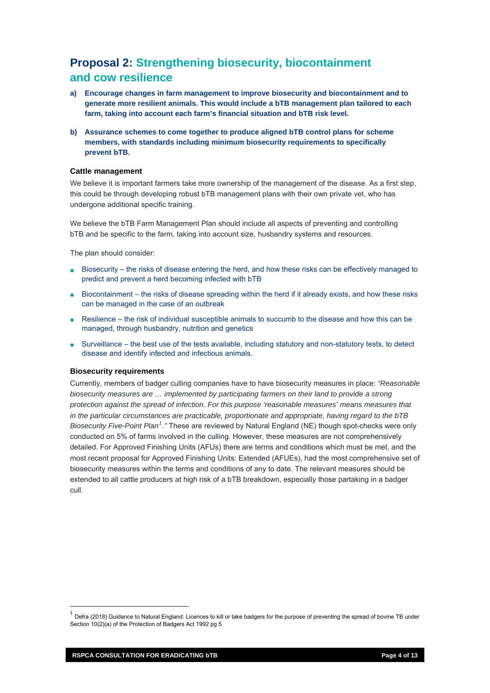## **Proposal 2: Strengthening biosecurity, biocontainment and cow resilience**

- **a) Encourage changes in farm management to improve biosecurity and biocontainment and to generate more resilient animals. This would include a bTB management plan tailored to each farm, taking into account each farm's financial situation and bTB risk level.**
- **b) Assurance schemes to come together to produce aligned bTB control plans for scheme members, with standards including minimum biosecurity requirements to specifically prevent bTB.**

#### **Cattle management**

We believe it is important farmers take more ownership of the management of the disease. As a first step, this could be through developing robust bTB management plans with their own private vet, who has undergone additional specific training.

We believe the bTB Farm Management Plan should include all aspects of preventing and controlling bTB and be specific to the farm, taking into account size, husbandry systems and resources.

The plan should consider:

- Biosecurity the risks of disease entering the herd, and how these risks can be effectively managed to predict and prevent a herd becoming infected with bTB
- Biocontainment the risks of disease spreading within the herd if it already exists, and how these risks can be managed in the case of an outbreak
- Resilience the risk of individual susceptible animals to succumb to the disease and how this can be managed, through husbandry, nutrition and genetics
- Surveillance the best use of the tests available, including statutory and non-statutory tests, to detect disease and identify infected and infectious animals.

#### **Biosecurity requirements**

detailed. For Approved Finishing Units (AFUs) there are terms and conditions which must be met, and the most recent proposal for Approved Finishing Units: Extended (AFUEs), had the most comprehensive set of biosecurity measures within the terms and conditions of any to date. The relevant measures should be extended to all cattle producers at high risk of a bTB breakdown, especially those partaking in a badger cull. Currently, members of badger culling companies have to have biosecurity measures in place: *"Reasonable biosecurity measures are … implemented by participating farmers on their land to provide a strong protection against the spread of infection. For this purpose 'reasonable measures' means measures that in the particular circumstances are practicable, proportionate and appropriate, having regard to the bTB Biosecurity Five-Point Plan[1](#page-3-0) ."* These are reviewed by Natural England (NE) though spot-checks were only conducted on 5% of farms involved in the culling. However, these measures are not comprehensively

<span id="page-3-0"></span><sup>1</sup> Defra (2018) Guidance to Natural England: Licences to kill or take badgers for the purpose of preventing the spread of bovine TB under Section 10(2)(a) of the Protection of Badgers Act 1992 pg 5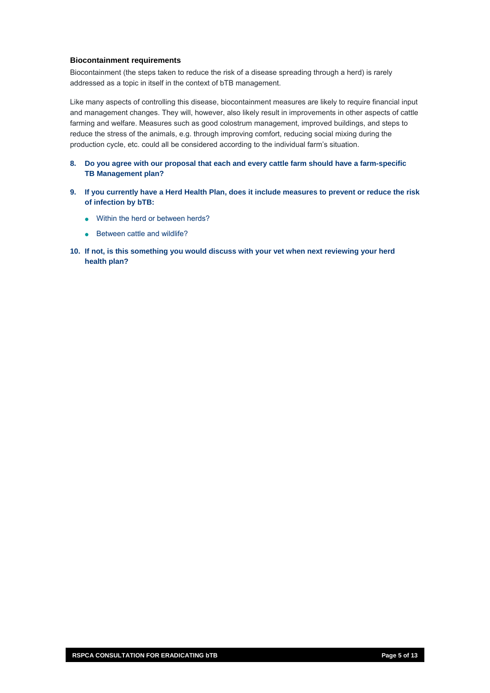#### **Biocontainment requirements**

Biocontainment (the steps taken to reduce the risk of a disease spreading through a herd) is rarely addressed as a topic in itself in the context of bTB management.

Like many aspects of controlling this disease, biocontainment measures are likely to require financial input and management changes. They will, however, also likely result in improvements in other aspects of cattle farming and welfare. Measures such as good colostrum management, improved buildings, and steps to reduce the stress of the animals, e.g. through improving comfort, reducing social mixing during the production cycle, etc. could all be considered according to the individual farm's situation.

- **8. Do you agree with our proposal that each and every cattle farm should have a farm-specific TB Management plan?**
- **9. If you currently have a Herd Health Plan, does it include measures to prevent or reduce the risk of infection by bTB:** 
	- Within the herd or between herds?
	- Between cattle and wildlife?
- 10. If not, is this something you would discuss with your vet when next reviewing your herd **health plan?**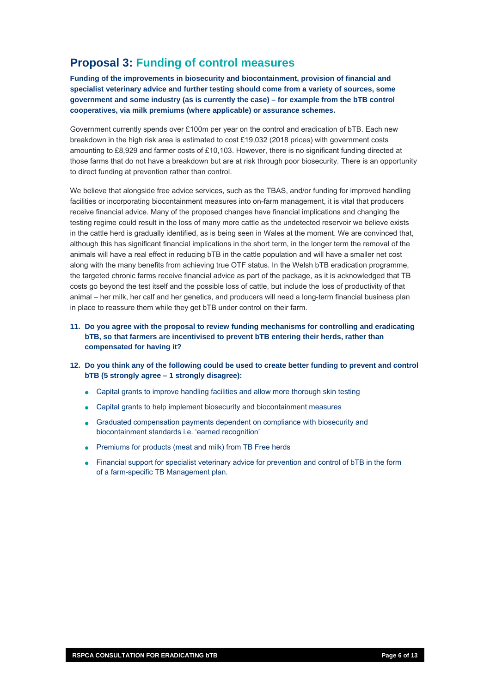### **Proposal 3: Funding of control measures**

**Funding of the improvements in biosecurity and biocontainment, provision of financial and specialist veterinary advice and further testing should come from a variety of sources, some government and some industry (as is currently the case) – for example from the bTB control cooperatives, via milk premiums (where applicable) or assurance schemes.** 

Government currently spends over £100m per year on the control and eradication of bTB. Each new breakdown in the high risk area is estimated to cost £19,032 (2018 prices) with government costs amounting to £8,929 and farmer costs of £10,103. However, there is no significant funding directed at those farms that do not have a breakdown but are at risk through poor biosecurity. There is an opportunity to direct funding at prevention rather than control.

We believe that alongside free advice services, such as the TBAS, and/or funding for improved handling facilities or incorporating biocontainment measures into on-farm management, it is vital that producers receive financial advice. Many of the proposed changes have financial implications and changing the testing regime could result in the loss of many more cattle as the undetected reservoir we believe exists in the cattle herd is gradually identified, as is being seen in Wales at the moment. We are convinced that, although this has significant financial implications in the short term, in the longer term the removal of the animals will have a real effect in reducing bTB in the cattle population and will have a smaller net cost along with the many benefits from achieving true OTF status. In the Welsh bTB eradication programme, the targeted chronic farms receive financial advice as part of the package, as it is acknowledged that TB costs go beyond the test itself and the possible loss of cattle, but include the loss of productivity of that animal – her milk, her calf and her genetics, and producers will need a long-term financial business plan in place to reassure them while they get bTB under control on their farm.

- **11. Do you agree with the proposal to review funding mechanisms for controlling and eradicating bTB, so that farmers are incentivised to prevent bTB entering their herds, rather than compensated for having it?**
- **12. Do you think any of the following could be used to create better funding to prevent and control bTB (5 strongly agree – 1 strongly disagree):** 
	- Capital grants to improve handling facilities and allow more thorough skin testing
	- Capital grants to help implement biosecurity and biocontainment measures
	- Graduated compensation payments dependent on compliance with biosecurity and biocontainment standards i.e. 'earned recognition'
	- Premiums for products (meat and milk) from TB Free herds
	- Financial support for specialist veterinary advice for prevention and control of bTB in the form of a farm-specific TB Management plan.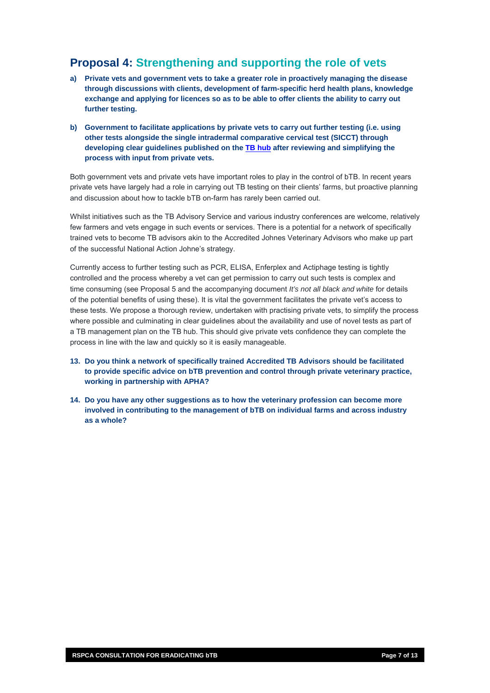### **Proposal 4: Strengthening and supporting the role of vets**

- **a) Private vets and government vets to take a greater role in proactively managing the disease through discussions with clients, development of farm-specific herd health plans, knowledge exchange and applying for licences so as to be able to offer clients the ability to carry out further testing.**
- **b) Government to facilitate applications by private vets to carry out further testing (i.e. using other tests alongside the single intradermal comparative cervical test (SICCT) through developing clear guidelines published on the [TB hub](https://tbhub.co.uk/) after reviewing and simplifying the process with input from private vets.**

Both government vets and private vets have important roles to play in the control of bTB. In recent years private vets have largely had a role in carrying out TB testing on their clients' farms, but proactive planning and discussion about how to tackle bTB on-farm has rarely been carried out.

Whilst initiatives such as the TB Advisory Service and various industry conferences are welcome, relatively few farmers and vets engage in such events or services. There is a potential for a network of specifically trained vets to become TB advisors akin to the Accredited Johnes Veterinary Advisors who make up part of the successful National Action Johne's strategy.

Currently access to further testing such as PCR, ELISA, Enferplex and Actiphage testing is tightly controlled and the process whereby a vet can get permission to carry out such tests is complex and time consuming (see Proposal 5 and the accompanying document *It's not all black and white* for details of the potential benefits of using these). It is vital the government facilitates the private vet's access to these tests. We propose a thorough review, undertaken with practising private vets, to simplify the process where possible and culminating in clear guidelines about the availability and use of novel tests as part of a TB management plan on the TB hub. This should give private vets confidence they can complete the process in line with the law and quickly so it is easily manageable.

- **13. Do you think a network of specifically trained Accredited TB Advisors should be facilitated to provide specific advice on bTB prevention and control through private veterinary practice, working in partnership with APHA?**
- **14. Do you have any other suggestions as to how the veterinary profession can become more involved in contributing to the management of bTB on individual farms and across industry as a whole?**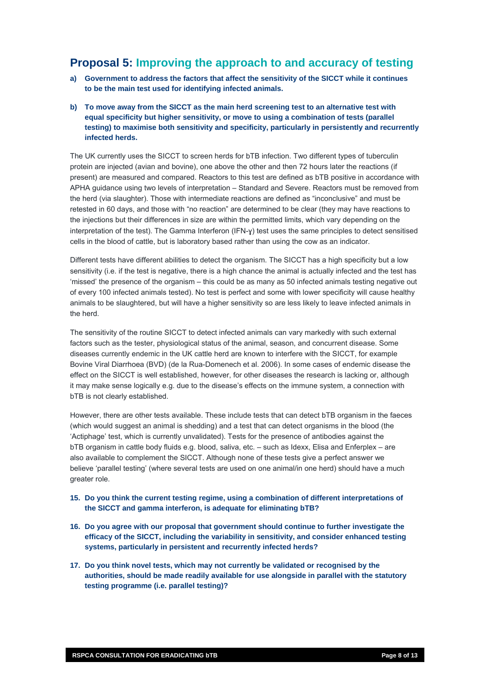### **Proposal 5: Improving the approach to and accuracy of testing**

- **a) Government to address the factors that affect the sensitivity of the SICCT while it continues to be the main test used for identifying infected animals.**
- **b) To move away from the SICCT as the main herd screening test to an alternative test with equal specificity but higher sensitivity, or move to using a combination of tests (parallel testing) to maximise both sensitivity and specificity, particularly in persistently and recurrently infected herds.**

The UK currently uses the SICCT to screen herds for bTB infection. Two different types of tuberculin protein are injected (avian and bovine), one above the other and then 72 hours later the reactions (if present) are measured and compared. Reactors to this test are defined as bTB positive in accordance with APHA guidance using two levels of interpretation – Standard and Severe. Reactors must be removed from the herd (via slaughter). Those with intermediate reactions are defined as "inconclusive" and must be retested in 60 days, and those with "no reaction" are determined to be clear (they may have reactions to the injections but their differences in size are within the permitted limits, which vary depending on the interpretation of the test). The Gamma Interferon (IFN-ɣ) test uses the same principles to detect sensitised cells in the blood of cattle, but is laboratory based rather than using the cow as an indicator.

Different tests have different abilities to detect the organism. The SICCT has a high specificity but a low sensitivity (i.e. if the test is negative, there is a high chance the animal is actually infected and the test has 'missed' the presence of the organism – this could be as many as 50 infected animals testing negative out of every 100 infected animals tested). No test is perfect and some with lower specificity will cause healthy animals to be slaughtered, but will have a higher sensitivity so are less likely to leave infected animals in the herd.

The sensitivity of the routine SICCT to detect infected animals can vary markedly with such external factors such as the tester, physiological status of the animal, season, and concurrent disease. Some diseases currently endemic in the UK cattle herd are known to interfere with the SICCT, for example Bovine Viral Diarrhoea (BVD) (de la Rua-Domenech et al. 2006). In some cases of endemic disease the effect on the SICCT is well established, however, for other diseases the research is lacking or, although it may make sense logically e.g. due to the disease's effects on the immune system, a connection with bTB is not clearly established.

However, there are other tests available. These include tests that can detect bTB organism in the faeces (which would suggest an animal is shedding) and a test that can detect organisms in the blood (the 'Actiphage' test, which is currently unvalidated). Tests for the presence of antibodies against the bTB organism in cattle body fluids e.g. blood, saliva, etc. – such as Idexx, Elisa and Enferplex – are also available to complement the SICCT. Although none of these tests give a perfect answer we believe 'parallel testing' (where several tests are used on one animal/in one herd) should have a much greater role.

- **15. Do you think the current testing regime, using a combination of different interpretations of the SICCT and gamma interferon, is adequate for eliminating bTB?**
- **16. Do you agree with our proposal that government should continue to further investigate the efficacy of the SICCT, including the variability in sensitivity, and consider enhanced testing systems, particularly in persistent and recurrently infected herds?**
- **17. Do you think novel tests, which may not currently be validated or recognised by the authorities, should be made readily available for use alongside in parallel with the statutory testing programme (i.e. parallel testing)?**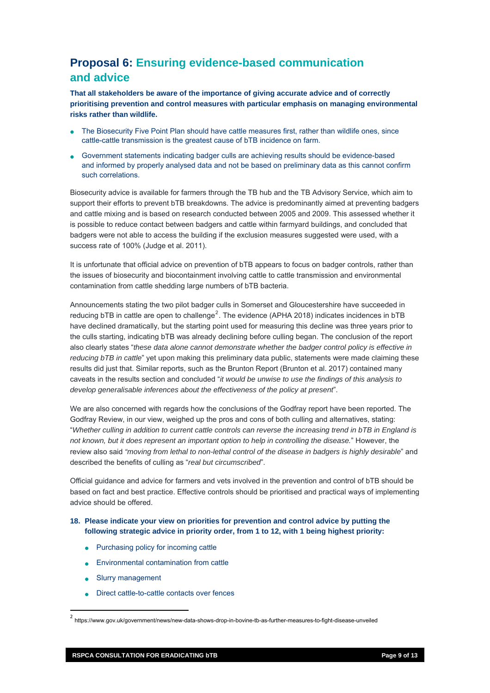# **Proposal 6: Ensuring evidence-based communication and advice**

**That all stakeholders be aware of the importance of giving accurate advice and of correctly prioritising prevention and control measures with particular emphasis on managing environmental risks rather than wildlife.** 

- The Biosecurity Five Point Plan should have cattle measures first, rather than wildlife ones, since cattle-cattle transmission is the greatest cause of bTB incidence on farm.
- Government statements indicating badger culls are achieving results should be evidence-based and informed by properly analysed data and not be based on preliminary data as this cannot confirm such correlations.

and cattle mixing and is based on research conducted between 2005 and 2009. This assessed whether it is possible to reduce contact between badgers and cattle within farmyard buildings, and concluded that badgers were not able to access the building if the exclusion measures suggested were used, with a success rate of 100% (Judge et al. 2011). Biosecurity advice is available for farmers through the TB hub and the TB Advisory Service, which aim to support their efforts to prevent bTB breakdowns. The advice is predominantly aimed at preventing badgers

It is unfortunate that official advice on prevention of bTB appears to focus on badger controls, rather than the issues of biosecurity and biocontainment involving cattle to cattle transmission and environmental contamination from cattle shedding large numbers of bTB bacteria.

*reducing bTB in cattle*" yet upon making this preliminary data public, statements were made claiming these caveats in the results section and concluded "*it would be unwise to use the findings of this analysis to develop generalisable inferences about the effectiveness of the policy at present*". Announcements stating the two pilot badger culls in Somerset and Gloucestershire have succeeded in reducing bTB in cattle are open to challenge<sup>[2](#page-8-0)</sup>. The evidence (APHA 2018) indicates incidences in bTB have declined dramatically, but the starting point used for measuring this decline was three years prior to the culls starting, indicating bTB was already declining before culling began. The conclusion of the report also clearly states "*these data alone cannot demonstrate whether the badger control policy is effective in*  results did just that. Similar reports, such as the Brunton Report (Brunton et al. 2017) contained many

We are also concerned with regards how the conclusions of the Godfray report have been reported. The *s*  "*Whether culling in addition to current cattle controls can reverse the increasing trend in bTB in England i* review also said "moving from lethal to non-lethal control of the disease in badgers is highly desirable" and described the benefits of culling as "*real but circumscribed*". Godfray Review, in our view, weighed up the pros and cons of both culling and alternatives, stating: *not known, but it does represent an important option to help in controlling the disease.*" However, the

based on fact and best practice. Effective controls should be prioritised and practical ways of implementing advice should be offered. Official guidance and advice for farmers and vets involved in the prevention and control of bTB should be

#### following strategic advice in priority order, from 1 to 12, with 1 being highest priority: **18. Please indicate your view on priorities for prevention and control advice by putting the**

- Purchasing policy for incoming cattle
- Environmental contamination from cattle
- Slurry management

• Direct cattle-to-cattle contacts over fences

<span id="page-8-0"></span><sup>2</sup> https://www.gov.uk/government/news/new-data-shows-drop-in-bovine-tb-as-further-measures-to-fight-disease-unveiled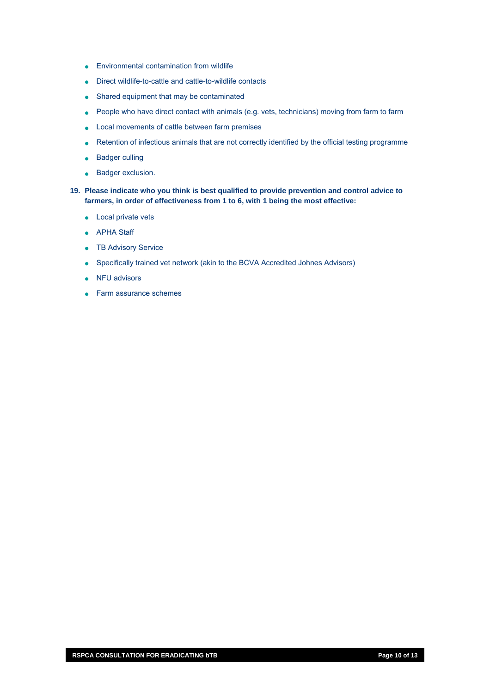- Environmental contamination from wildlife
- Direct wildlife-to-cattle and cattle-to-wildlife contacts
- Shared equipment that may be contaminated
- People who have direct contact with animals (e.g. vets, technicians) moving from farm to farm
- Local movements of cattle between farm premises
- Retention of infectious animals that are not correctly identified by the official testing programme
- Badger culling
- Badger exclusion.
- **19. Please indicate who you think is best qualified to provide prevention and control advice to farmers, in order of effectiveness from 1 to 6, with 1 being the most effective:** 
	- Local private vets
	- APHA Staff
	- TB Advisory Service
	- Specifically trained vet network (akin to the BCVA Accredited Johnes Advisors)
	- NFU advisors
	- Farm assurance schemes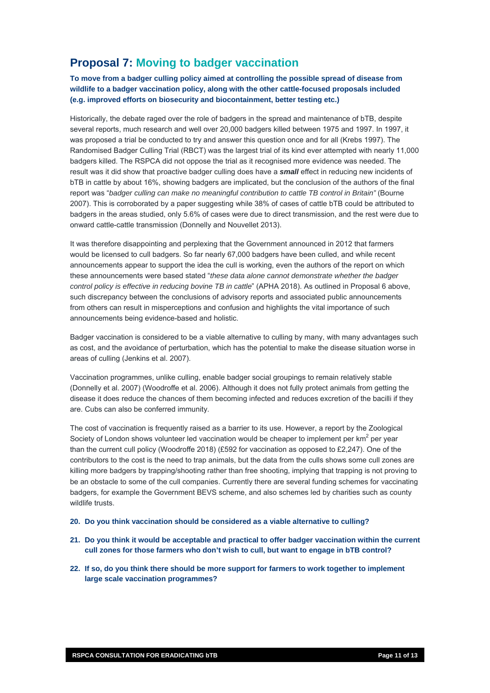## **Proposal 7: Moving to badger vaccination**

**To move from a badger culling policy aimed at controlling the possible spread of disease from wildlife to a badger vaccination policy, along with the other cattle-focused proposals included (e.g. improved efforts on biosecurity and biocontainment, better testing etc.)** 

Historically, the debate raged over the role of badgers in the spread and maintenance of bTB, despite several reports, much research and well over 20,000 badgers killed between 1975 and 1997. In 1997, it was proposed a trial be conducted to try and answer this question once and for all (Krebs 1997). The Randomised Badger Culling Trial (RBCT) was the largest trial of its kind ever attempted with nearly 11,000 badgers killed. The RSPCA did not oppose the trial as it recognised more evidence was needed. The result was it did show that proactive badger culling does have a *small* effect in reducing new incidents of bTB in cattle by about 16%, showing badgers are implicated, but the conclusion of the authors of the final report was "*badger culling can make no meaningful contribution to cattle TB control in Britain"* (Bourne 2007). This is corroborated by a paper suggesting while 38% of cases of cattle bTB could be attributed to badgers in the areas studied, only 5.6% of cases were due to direct transmission, and the rest were due to onward cattle-cattle transmission (Donnelly and Nouvellet 2013).

It was therefore disappointing and perplexing that the Government announced in 2012 that farmers would be licensed to cull badgers. So far nearly 67,000 badgers have been culled, and while recent announcements appear to support the idea the cull is working, even the authors of the report on which these announcements were based stated "*these data alone cannot demonstrate whether the badger control policy is effective in reducing bovine TB in cattle*" (APHA 2018). As outlined in Proposal 6 above, such discrepancy between the conclusions of advisory reports and associated public announcements from others can result in misperceptions and confusion and highlights the vital importance of such announcements being evidence-based and holistic.

Badger vaccination is considered to be a viable alternative to culling by many, with many advantages such as cost, and the avoidance of perturbation, which has the potential to make the disease situation worse in areas of culling (Jenkins et al. 2007).

Vaccination programmes, unlike culling, enable badger social groupings to remain relatively stable (Donnelly et al. 2007) (Woodroffe et al. 2006). Although it does not fully protect animals from getting the disease it does reduce the chances of them becoming infected and reduces excretion of the bacilli if they are. Cubs can also be conferred immunity.

The cost of vaccination is frequently raised as a barrier to its use. However, a report by the Zoological Society of London shows volunteer led vaccination would be cheaper to implement per  $km^2$  per year than the current cull policy (Woodroffe 2018) (£592 for vaccination as opposed to £2,247). One of the contributors to the cost is the need to trap animals, but the data from the culls shows some cull zones are killing more badgers by trapping/shooting rather than free shooting, implying that trapping is not proving to be an obstacle to some of the cull companies. Currently there are several funding schemes for vaccinating badgers, for example the Government BEVS scheme, and also schemes led by charities such as county wildlife trusts.

- **20. Do you think vaccination should be considered as a viable alternative to culling?**
- **21. Do you think it would be acceptable and practical to offer badger vaccination within the current cull zones for those farmers who don't wish to cull, but want to engage in bTB control?**
- **22. If so, do you think there should be more support for farmers to work together to implement large scale vaccination programmes?**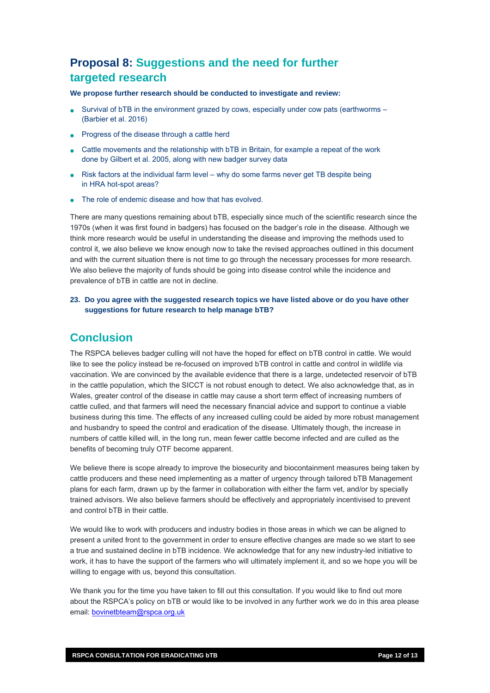## **Proposal 8: Suggestions and the need for further targeted research**

**We propose further research should be conducted to investigate and review:** 

- Survival of bTB in the environment grazed by cows, especially under cow pats (earthworms (Barbier et al. 2016)
- Progress of the disease through a cattle herd
- Cattle movements and the relationship with bTB in Britain, for example a repeat of the work done by Gilbert et al. 2005, along with new badger survey data
- Risk factors at the individual farm level why do some farms never get TB despite being in HRA hot-spot areas?
- The role of endemic disease and how that has evolved.

There are many questions remaining about bTB, especially since much of the scientific research since t he 1970s (when it was first found in badgers) has focused on the badger's role in the disease. Although we think more research would be useful in understanding the disease and improving the methods used to control it, we also believe we know enough now to take the revised approaches outlined in this docu ment and with the current situation there is not time to go through the necessary processes for more research. We also believe the majority of funds should be going into disease control while the incidence and prevalence of bTB in cattle are not in decline.

**23. Do you agree with the suggested research topics we have listed above or do you have other**  suggestions for future research to help manage **bTB?** 

### **Conclusion**

vaccination. We are convinced by the available evidence that there is a large, undetected reservoir of bTB in the cattle population, which the SICCT is not robust enough to detect. We also acknowledge that, as in business during this time. The effects of any increased culling could be aided by more robust management and husbandry to speed the control and eradication of the disease. Ultimately though, the increase in numbers of cattle killed will, in the long run, mean fewer cattle become infected and are culled as the The RSPCA believes badger culling will not have the hoped for effect on bTB control in cattle. We would like to see the policy instead be re-focused on improved bTB control in cattle and control in wildlife via Wales, greater control of the disease in cattle may cause a short term effect of increasing numbers of cattle culled, and that farmers will need the necessary financial advice and support to continue a viable benefits of becoming truly OTF become apparent.

We believe there is scope already to improve the biosecurity and biocontainment measures being taken by plans for each farm, drawn up by the farmer in collaboration with either the farm vet, and/or by specially trained advisors. We also believe farmers should be effectively and appropriately incentivised to prevent cattle producers and these need implementing as a matter of urgency through tailored bTB Management and control bTB in their cattle.

a true and sustained decline in bTB incidence. We acknowledge that for any new industry-led initiative to work, it has to have the support of the farmers who will ultimately implement it, and so we hope you will be We would like to work with producers and industry bodies in those areas in which we can be aligned to present a united front to the government in order to ensure effective changes are made so we start to see willing to engage with us, beyond this consultation.

We thank you for the time you have taken to fill out this consultation. If you would like to find out more about the RSPCA's policy on bTB or would like to be involved in any further work we do in this area please email: bovinetbteam@rspca.org.uk